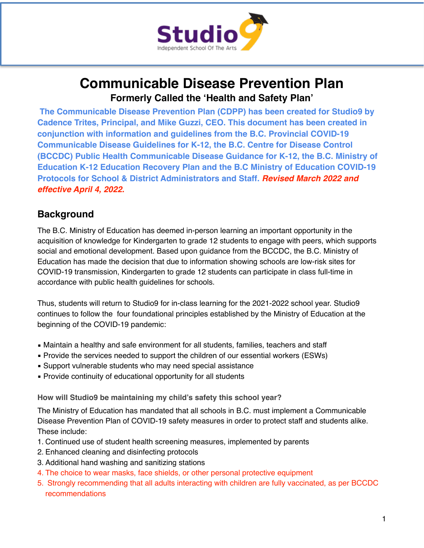

# **Communicable Disease Prevention Plan Formerly Called the 'Health and Safety Plan'**

**The Communicable Disease Prevention Plan (CDPP) has been created for Studio9 by Cadence Trites, Principal, and Mike Guzzi, CEO. This document has been created in conjunction with information and guidelines from the B.C. Provincial COVID-19 Communicable Disease Guidelines for K-12, the B.C. Centre for Disease Control (BCCDC) Public Health Communicable Disease Guidance for K-12, the B.C. Ministry of Education K-12 Education Recovery Plan and the B.C Ministry of Education COVID-19 Protocols for School & District Administrators and Staff.** *Revised March 2022 and effective April 4, 2022.*

### **Background**

The B.C. Ministry of Education has deemed in-person learning an important opportunity in the acquisition of knowledge for Kindergarten to grade 12 students to engage with peers, which supports social and emotional development. Based upon guidance from the BCCDC, the B.C. Ministry of Education has made the decision that due to information showing schools are low-risk sites for COVID-19 transmission, Kindergarten to grade 12 students can participate in class full-time in accordance with public health guidelines for schools.

Thus, students will return to Studio9 for in-class learning for the 2021-2022 school year. Studio9 continues to follow the four foundational principles established by the Ministry of Education at the beginning of the COVID-19 pandemic:

- **Maintain a healthy and safe environment for all students, families, teachers and staff**
- Provide the services needed to support the children of our essential workers (ESWs)
- **EX Support vulnerable students who may need special assistance**
- **Provide continuity of educational opportunity for all students**

**How will Studio9 be maintaining my child's safety this school year?** 

The Ministry of Education has mandated that all schools in B.C. must implement a Communicable Disease Prevention Plan of COVID-19 safety measures in order to protect staff and students alike. These include:

- 1. Continued use of student health screening measures, implemented by parents
- 2. Enhanced cleaning and disinfecting protocols
- 3. Additional hand washing and sanitizing stations
- 4. The choice to wear masks, face shields, or other personal protective equipment
- 5. Strongly recommending that all adults interacting with children are fully vaccinated, as per BCCDC recommendations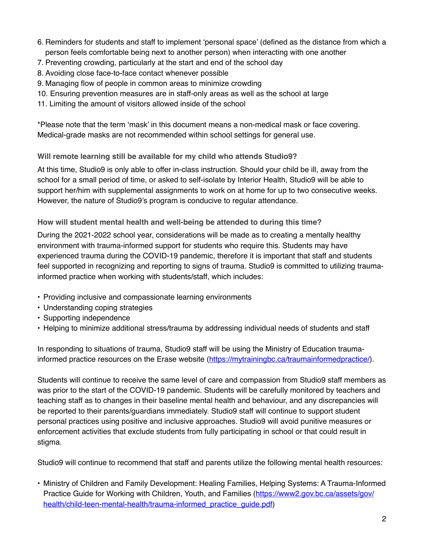- 6. Reminders for students and staff to implement 'personal space' (defined as the distance from which a person feels comfortable being next to another person) when interacting with one another
- 7. Preventing crowding, particularly at the start and end of the school day
- 8. Avoiding close face-to-face contact whenever possible
- 9. Managing flow of people in common areas to minimize crowding
- 10. Ensuring prevention measures are in staff-only areas as well as the school at large
- 11. Limiting the amount of visitors allowed inside of the school

\*Please note that the term 'mask' in this document means a non-medical mask or face covering. Medical-grade masks are not recommended within school settings for general use.

#### **Will remote learning still be available for my child who attends Studio9?**

At this time, Studio9 is only able to offer in-class instruction. Should your child be ill, away from the school for a small period of time, or asked to self-isolate by Interior Health, Studio9 will be able to support her/him with supplemental assignments to work on at home for up to two consecutive weeks. However, the nature of Studio9's program is conducive to regular attendance.

#### **How will student mental health and well-being be attended to during this time?**

During the 2021-2022 school year, considerations will be made as to creating a mentally healthy environment with trauma-informed support for students who require this. Students may have experienced trauma during the COVID-19 pandemic, therefore it is important that staff and students feel supported in recognizing and reporting to signs of trauma. Studio9 is committed to utilizing traumainformed practice when working with students/staff, which includes:

- Providing inclusive and compassionate learning environments
- Understanding coping strategies
- Supporting independence
- Helping to minimize additional stress/trauma by addressing individual needs of students and staff

In responding to situations of trauma, Studio9 staff will be using the Ministry of Education traumainformed practice resources on the Erase website [\(https://mytrainingbc.ca/traumainformedpractice/\)](https://mytrainingbc.ca/traumainformedpractice/).

Students will continue to receive the same level of care and compassion from Studio9 staff members as was prior to the start of the COVID-19 pandemic. Students will be carefully monitored by teachers and teaching staff as to changes in their baseline mental health and behaviour, and any discrepancies will be reported to their parents/guardians immediately. Studio9 staff will continue to support student personal practices using positive and inclusive approaches. Studio9 will avoid punitive measures or enforcement activities that exclude students from fully participating in school or that could result in stigma.

Studio9 will continue to recommend that staff and parents utilize the following mental health resources:

• Ministry of Children and Family Development: Healing Families, Helping Systems: A Trauma-Informed [Practice Guide for Working with Children, Youth, and Families \(https://www2.gov.bc.ca/assets/gov/](https://www2.gov.bc.ca/assets/gov/health/child-teen-mental-health/trauma-informed_practice_guide.pdf) health/child-teen-mental-health/trauma-informed practice quide.pdf)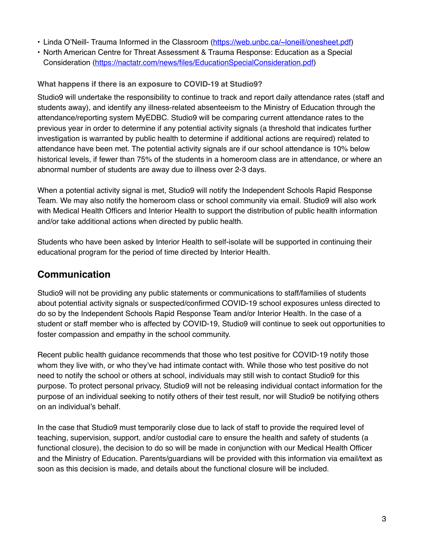- Linda O'Neill- Trauma Informed in the Classroom ([https://web.unbc.ca/~loneill/onesheet.pdf\)](https://web.unbc.ca/~loneill/onesheet.pdf)
- North American Centre for Threat Assessment & Trauma Response: Education as a Special Consideration [\(https://nactatr.com/news/files/EducationSpecialConsideration.pdf\)](https://nactatr.com/news/files/EducationSpecialConsideration.pdf)

#### **What happens if there is an exposure to COVID-19 at Studio9?**

Studio9 will undertake the responsibility to continue to track and report daily attendance rates (staff and students away), and identify any illness-related absenteeism to the Ministry of Education through the attendance/reporting system MyEDBC. Studio9 will be comparing current attendance rates to the previous year in order to determine if any potential activity signals (a threshold that indicates further investigation is warranted by public health to determine if additional actions are required) related to attendance have been met. The potential activity signals are if our school attendance is 10% below historical levels, if fewer than 75% of the students in a homeroom class are in attendance, or where an abnormal number of students are away due to illness over 2-3 days.

When a potential activity signal is met, Studio9 will notify the Independent Schools Rapid Response Team. We may also notify the homeroom class or school community via email. Studio9 will also work with Medical Health Officers and Interior Health to support the distribution of public health information and/or take additional actions when directed by public health.

Students who have been asked by Interior Health to self-isolate will be supported in continuing their educational program for the period of time directed by Interior Health.

### **Communication**

Studio9 will not be providing any public statements or communications to staff/families of students about potential activity signals or suspected/confirmed COVID-19 school exposures unless directed to do so by the Independent Schools Rapid Response Team and/or Interior Health. In the case of a student or staff member who is affected by COVID-19, Studio9 will continue to seek out opportunities to foster compassion and empathy in the school community.

Recent public health guidance recommends that those who test positive for COVID-19 notify those whom they live with, or who they've had intimate contact with. While those who test positive do not need to notify the school or others at school, individuals may still wish to contact Studio9 for this purpose. To protect personal privacy, Studio9 will not be releasing individual contact information for the purpose of an individual seeking to notify others of their test result, nor will Studio9 be notifying others on an individual's behalf.

In the case that Studio9 must temporarily close due to lack of staff to provide the required level of teaching, supervision, support, and/or custodial care to ensure the health and safety of students (a functional closure), the decision to do so will be made in conjunction with our Medical Health Officer and the Ministry of Education. Parents/guardians will be provided with this information via email/text as soon as this decision is made, and details about the functional closure will be included.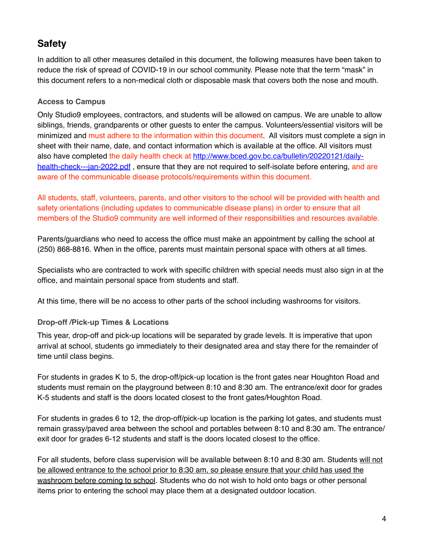## **Safety**

In addition to all other measures detailed in this document, the following measures have been taken to reduce the risk of spread of COVID-19 in our school community. Please note that the term "mask" in this document refers to a non-medical cloth or disposable mask that covers both the nose and mouth.

#### **Access to Campus**

Only Studio9 employees, contractors, and students will be allowed on campus. We are unable to allow siblings, friends, grandparents or other guests to enter the campus. Volunteers/essential visitors will be minimized and must adhere to the information within this document. All visitors must complete a sign in sheet with their name, date, and contact information which is available at the office. All visitors must also have completed the daily health check at [http://www.bced.gov.bc.ca/bulletin/20220121/daily](http://www.bced.gov.bc.ca/bulletin/20220121/daily-health-check---jan-2022.pdf)health-check---jan-2022.pdf, ensure that they are not required to self-isolate before entering, and are aware of the communicable disease protocols/requirements within this document.

All students, staff, volunteers, parents, and other visitors to the school will be provided with health and safety orientations (including updates to communicable disease plans) in order to ensure that all members of the Studio9 community are well informed of their responsibilities and resources available.

Parents/guardians who need to access the office must make an appointment by calling the school at (250) 868-8816. When in the office, parents must maintain personal space with others at all times.

Specialists who are contracted to work with specific children with special needs must also sign in at the office, and maintain personal space from students and staff.

At this time, there will be no access to other parts of the school including washrooms for visitors.

#### **Drop-off /Pick-up Times & Locations**

This year, drop-off and pick-up locations will be separated by grade levels. It is imperative that upon arrival at school, students go immediately to their designated area and stay there for the remainder of time until class begins.

For students in grades K to 5, the drop-off/pick-up location is the front gates near Houghton Road and students must remain on the playground between 8:10 and 8:30 am. The entrance/exit door for grades K-5 students and staff is the doors located closest to the front gates/Houghton Road.

For students in grades 6 to 12, the drop-off/pick-up location is the parking lot gates, and students must remain grassy/paved area between the school and portables between 8:10 and 8:30 am. The entrance/ exit door for grades 6-12 students and staff is the doors located closest to the office.

For all students, before class supervision will be available between 8:10 and 8:30 am. Students will not be allowed entrance to the school prior to 8:30 am, so please ensure that your child has used the washroom before coming to school. Students who do not wish to hold onto bags or other personal items prior to entering the school may place them at a designated outdoor location.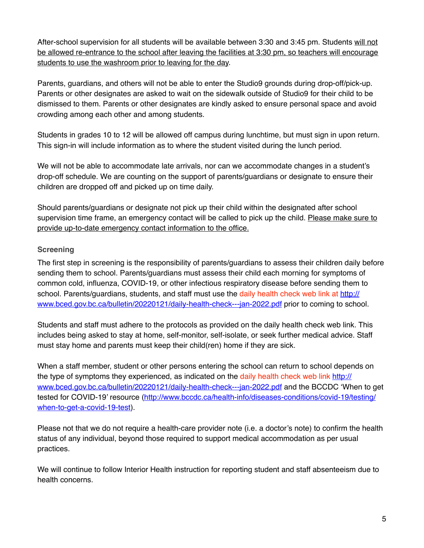After-school supervision for all students will be available between 3:30 and 3:45 pm. Students will not be allowed re-entrance to the school after leaving the facilities at 3:30 pm, so teachers will encourage students to use the washroom prior to leaving for the day.

Parents, guardians, and others will not be able to enter the Studio9 grounds during drop-off/pick-up. Parents or other designates are asked to wait on the sidewalk outside of Studio9 for their child to be dismissed to them. Parents or other designates are kindly asked to ensure personal space and avoid crowding among each other and among students.

Students in grades 10 to 12 will be allowed off campus during lunchtime, but must sign in upon return. This sign-in will include information as to where the student visited during the lunch period.

We will not be able to accommodate late arrivals, nor can we accommodate changes in a student's drop-off schedule. We are counting on the support of parents/guardians or designate to ensure their children are dropped off and picked up on time daily.

Should parents/guardians or designate not pick up their child within the designated after school supervision time frame, an emergency contact will be called to pick up the child. Please make sure to provide up-to-date emergency contact information to the office.

#### **Screening**

The first step in screening is the responsibility of parents/guardians to assess their children daily before sending them to school. Parents/guardians must assess their child each morning for symptoms of common cold, influenza, COVID-19, or other infectious respiratory disease before sending them to school. Parents/guardians, students, and staff must use the daily health check web link at [http://](http://www.bced.gov.bc.ca/bulletin/20220121/daily-health-check---jan-2022.pdf) [www.bced.gov.bc.ca/bulletin/20220121/daily-health-check---jan-2022.pdf](http://www.bced.gov.bc.ca/bulletin/20220121/daily-health-check---jan-2022.pdf) prior to coming to school.

Students and staff must adhere to the protocols as provided on the daily health check web link. This includes being asked to stay at home, self-monitor, self-isolate, or seek further medical advice. Staff must stay home and parents must keep their child(ren) home if they are sick.

When a staff member, student or other persons entering the school can return to school depends on the type of symptoms they experienced, as indicated on the daily health check web link [http://](http://www.bced.gov.bc.ca/bulletin/20220121/daily-health-check---jan-2022.pdf) [www.bced.gov.bc.ca/bulletin/20220121/daily-health-check---jan-2022.pdf](http://www.bced.gov.bc.ca/bulletin/20220121/daily-health-check---jan-2022.pdf) and the BCCDC 'When to get tested for COVID-19' resource [\(http://www.bccdc.ca/health-info/diseases-conditions/covid-19/testing/](http://www.bccdc.ca/health-info/diseases-conditions/covid-19/testing/when-to-get-a-covid-19-test) [when-to-get-a-covid-19-test](http://www.bccdc.ca/health-info/diseases-conditions/covid-19/testing/when-to-get-a-covid-19-test)).

Please not that we do not require a health-care provider note (i.e. a doctor's note) to confirm the health status of any individual, beyond those required to support medical accommodation as per usual practices.

We will continue to follow Interior Health instruction for reporting student and staff absenteeism due to health concerns.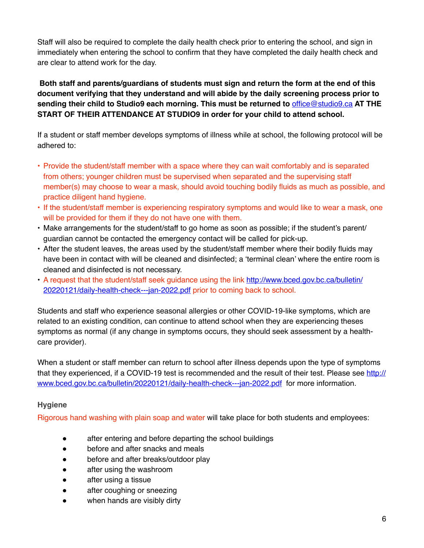Staff will also be required to complete the daily health check prior to entering the school, and sign in immediately when entering the school to confirm that they have completed the daily health check and are clear to attend work for the day.

#### **Both staff and parents/guardians of students must sign and return the form at the end of this document verifying that they understand and will abide by the daily screening process prior to sending their child to Studio9 each morning. This must be returned to** [office@studio9.ca](mailto:office@studio9.ca) **AT THE START OF THEIR ATTENDANCE AT STUDIO9 in order for your child to attend school.**

If a student or staff member develops symptoms of illness while at school, the following protocol will be adhered to:

- Provide the student/staff member with a space where they can wait comfortably and is separated from others; younger children must be supervised when separated and the supervising staff member(s) may choose to wear a mask, should avoid touching bodily fluids as much as possible, and practice diligent hand hygiene.
- If the student/staff member is experiencing respiratory symptoms and would like to wear a mask, one will be provided for them if they do not have one with them.
- Make arrangements for the student/staff to go home as soon as possible; if the student's parent/ guardian cannot be contacted the emergency contact will be called for pick-up.
- After the student leaves, the areas used by the student/staff member where their bodily fluids may have been in contact with will be cleaned and disinfected; a 'terminal clean' where the entire room is cleaned and disinfected is not necessary.
- A request that the student/staff seek guidance using the link [http://www.bced.gov.bc.ca/bulletin/](http://www.bced.gov.bc.ca/bulletin/20220121/daily-health-check---jan-2022.pdf) [20220121/daily-health-check---jan-2022.pdf](http://www.bced.gov.bc.ca/bulletin/20220121/daily-health-check---jan-2022.pdf) prior to coming back to school.

Students and staff who experience seasonal allergies or other COVID-19-like symptoms, which are related to an existing condition, can continue to attend school when they are experiencing theses symptoms as normal (if any change in symptoms occurs, they should seek assessment by a healthcare provider).

When a student or staff member can return to school after illness depends upon the type of symptoms that they experienced, if a COVID-19 test is recommended and the result of their test. Please see [http://](http://www.bced.gov.bc.ca/bulletin/20220121/daily-health-check---jan-2022.pdf) [www.bced.gov.bc.ca/bulletin/20220121/daily-health-check---jan-2022.pdf](http://www.bced.gov.bc.ca/bulletin/20220121/daily-health-check---jan-2022.pdf) for more information.

#### **Hygiene**

Rigorous hand washing with plain soap and water will take place for both students and employees:

- after entering and before departing the school buildings
- before and after snacks and meals
- before and after breaks/outdoor play
- after using the washroom
- after using a tissue
- after coughing or sneezing
- when hands are visibly dirty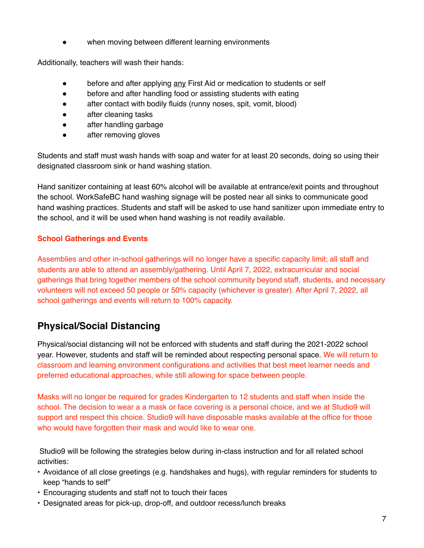when moving between different learning environments

Additionally, teachers will wash their hands:

- before and after applying any First Aid or medication to students or self
- before and after handling food or assisting students with eating
- after contact with bodily fluids (runny noses, spit, vomit, blood)
- after cleaning tasks
- after handling garbage
- after removing gloves

Students and staff must wash hands with soap and water for at least 20 seconds, doing so using their designated classroom sink or hand washing station.

Hand sanitizer containing at least 60% alcohol will be available at entrance/exit points and throughout the school. WorkSafeBC hand washing signage will be posted near all sinks to communicate good hand washing practices. Students and staff will be asked to use hand sanitizer upon immediate entry to the school, and it will be used when hand washing is not readily available.

#### **School Gatherings and Events**

Assemblies and other in-school gatherings will no longer have a specific capacity limit; all staff and students are able to attend an assembly/gathering. Until April 7, 2022, extracurricular and social gatherings that bring together members of the school community beyond staff, students, and necessary volunteers will not exceed 50 people or 50% capacity (whichever is greater). After April 7, 2022, all school gatherings and events will return to 100% capacity.

## **Physical/Social Distancing**

Physical/social distancing will not be enforced with students and staff during the 2021-2022 school year. However, students and staff will be reminded about respecting personal space. We will return to classroom and learning environment configurations and activities that best meet learner needs and preferred educational approaches, while still allowing for space between people.

Masks will no longer be required for grades Kindergarten to 12 students and staff when inside the school. The decision to wear a a mask or face covering is a personal choice, and we at Studio9 will support and respect this choice. Studio9 will have disposable masks available at the office for those who would have forgotten their mask and would like to wear one.

 Studio9 will be following the strategies below during in-class instruction and for all related school activities:

- Avoidance of all close greetings (e.g. handshakes and hugs), with regular reminders for students to keep "hands to self"
- Encouraging students and staff not to touch their faces
- Designated areas for pick-up, drop-off, and outdoor recess/lunch breaks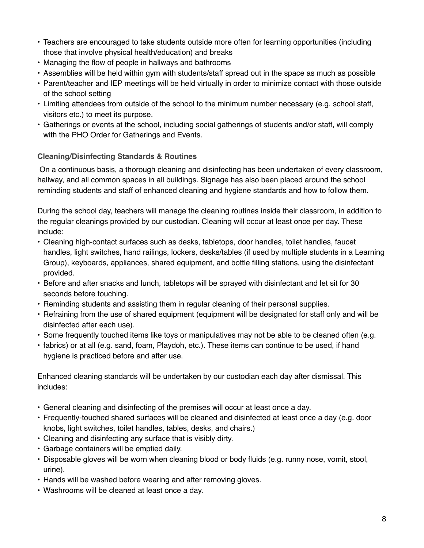- Teachers are encouraged to take students outside more often for learning opportunities (including those that involve physical health/education) and breaks
- Managing the flow of people in hallways and bathrooms
- Assemblies will be held within gym with students/staff spread out in the space as much as possible
- Parent/teacher and IEP meetings will be held virtually in order to minimize contact with those outside of the school setting
- Limiting attendees from outside of the school to the minimum number necessary (e.g. school staff, visitors etc.) to meet its purpose.
- Gatherings or events at the school, including social gatherings of students and/or staff, will comply with the PHO Order for Gatherings and Events.

#### **Cleaning/Disinfecting Standards & Routines**

 On a continuous basis, a thorough cleaning and disinfecting has been undertaken of every classroom, hallway, and all common spaces in all buildings. Signage has also been placed around the school reminding students and staff of enhanced cleaning and hygiene standards and how to follow them.

During the school day, teachers will manage the cleaning routines inside their classroom, in addition to the regular cleanings provided by our custodian. Cleaning will occur at least once per day. These include:

- Cleaning high-contact surfaces such as desks, tabletops, door handles, toilet handles, faucet handles, light switches, hand railings, lockers, desks/tables (if used by multiple students in a Learning Group), keyboards, appliances, shared equipment, and bottle filling stations, using the disinfectant provided.
- Before and after snacks and lunch, tabletops will be sprayed with disinfectant and let sit for 30 seconds before touching.
- Reminding students and assisting them in regular cleaning of their personal supplies.
- Refraining from the use of shared equipment (equipment will be designated for staff only and will be disinfected after each use).
- Some frequently touched items like toys or manipulatives may not be able to be cleaned often (e.g.
- fabrics) or at all (e.g. sand, foam, Playdoh, etc.). These items can continue to be used, if hand hygiene is practiced before and after use.

Enhanced cleaning standards will be undertaken by our custodian each day after dismissal. This includes:

- General cleaning and disinfecting of the premises will occur at least once a day.
- Frequently-touched shared surfaces will be cleaned and disinfected at least once a day (e.g. door knobs, light switches, toilet handles, tables, desks, and chairs.)
- Cleaning and disinfecting any surface that is visibly dirty.
- Garbage containers will be emptied daily.
- Disposable gloves will be worn when cleaning blood or body fluids (e.g. runny nose, vomit, stool, urine).
- Hands will be washed before wearing and after removing gloves.
- Washrooms will be cleaned at least once a day.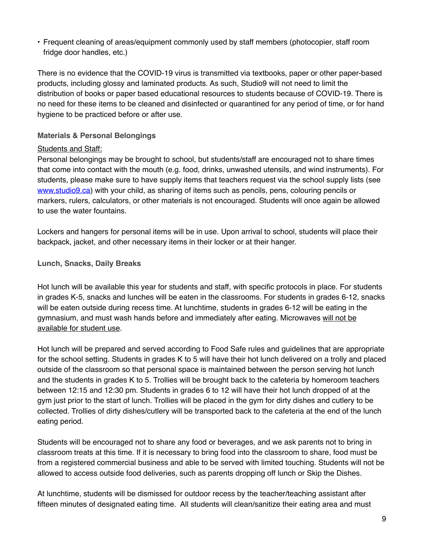• Frequent cleaning of areas/equipment commonly used by staff members (photocopier, staff room fridge door handles, etc.)

There is no evidence that the COVID-19 virus is transmitted via textbooks, paper or other paper-based products, including glossy and laminated products. As such, Studio9 will not need to limit the distribution of books or paper based educational resources to students because of COVID-19. There is no need for these items to be cleaned and disinfected or quarantined for any period of time, or for hand hygiene to be practiced before or after use.

#### **Materials & Personal Belongings**

#### Students and Staff:

Personal belongings may be brought to school, but students/staff are encouraged not to share times that come into contact with the mouth (e.g. food, drinks, unwashed utensils, and wind instruments). For students, please make sure to have supply items that teachers request via the school supply lists (see [www.studio9.ca](http://www.studio9.ca)) with your child, as sharing of items such as pencils, pens, colouring pencils or markers, rulers, calculators, or other materials is not encouraged. Students will once again be allowed to use the water fountains.

Lockers and hangers for personal items will be in use. Upon arrival to school, students will place their backpack, jacket, and other necessary items in their locker or at their hanger.

**Lunch, Snacks, Daily Breaks** 

Hot lunch will be available this year for students and staff, with specific protocols in place. For students in grades K-5, snacks and lunches will be eaten in the classrooms. For students in grades 6-12, snacks will be eaten outside during recess time. At lunchtime, students in grades 6-12 will be eating in the gymnasium, and must wash hands before and immediately after eating. Microwaves will not be available for student use.

Hot lunch will be prepared and served according to Food Safe rules and guidelines that are appropriate for the school setting. Students in grades K to 5 will have their hot lunch delivered on a trolly and placed outside of the classroom so that personal space is maintained between the person serving hot lunch and the students in grades K to 5. Trollies will be brought back to the cafeteria by homeroom teachers between 12:15 and 12:30 pm. Students in grades 6 to 12 will have their hot lunch dropped of at the gym just prior to the start of lunch. Trollies will be placed in the gym for dirty dishes and cutlery to be collected. Trollies of dirty dishes/cutlery will be transported back to the cafeteria at the end of the lunch eating period.

Students will be encouraged not to share any food or beverages, and we ask parents not to bring in classroom treats at this time. If it is necessary to bring food into the classroom to share, food must be from a registered commercial business and able to be served with limited touching. Students will not be allowed to access outside food deliveries, such as parents dropping off lunch or Skip the Dishes.

At lunchtime, students will be dismissed for outdoor recess by the teacher/teaching assistant after fifteen minutes of designated eating time. All students will clean/sanitize their eating area and must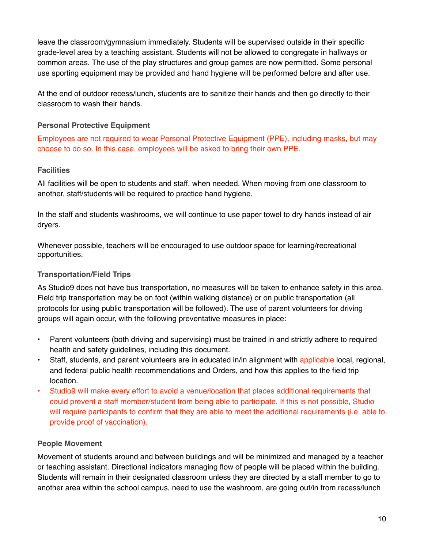leave the classroom/gymnasium immediately. Students will be supervised outside in their specific grade-level area by a teaching assistant. Students will not be allowed to congregate in hallways or common areas. The use of the play structures and group games are now permitted. Some personal use sporting equipment may be provided and hand hygiene will be performed before and after use.

At the end of outdoor recess/lunch, students are to sanitize their hands and then go directly to their classroom to wash their hands.

#### **Personal Protective Equipment**

Employees are not required to wear Personal Protective Equipment (PPE), including masks, but may choose to do so. In this case, employees will be asked to bring their own PPE.

#### **Facilities**

All facilities will be open to students and staff, when needed. When moving from one classroom to another, staff/students will be required to practice hand hygiene.

In the staff and students washrooms, we will continue to use paper towel to dry hands instead of air dryers.

Whenever possible, teachers will be encouraged to use outdoor space for learning/recreational opportunities.

#### **Transportation/Field Trips**

As Studio9 does not have bus transportation, no measures will be taken to enhance safety in this area. Field trip transportation may be on foot (within walking distance) or on public transportation (all protocols for using public transportation will be followed). The use of parent volunteers for driving groups will again occur, with the following preventative measures in place:

- Parent volunteers (both driving and supervising) must be trained in and strictly adhere to required health and safety guidelines, including this document.
- Staff, students, and parent volunteers are in educated in/in alignment with applicable local, regional, and federal public health recommendations and Orders, and how this applies to the field trip location.
- Studio9 will make every effort to avoid a venue/location that places additional requirements that could prevent a staff member/student from being able to participate. If this is not possible, Studio will require participants to confirm that they are able to meet the additional requirements (i.e. able to provide proof of vaccination).

#### **People Movement**

Movement of students around and between buildings and will be minimized and managed by a teacher or teaching assistant. Directional indicators managing flow of people will be placed within the building. Students will remain in their designated classroom unless they are directed by a staff member to go to another area within the school campus, need to use the washroom, are going out/in from recess/lunch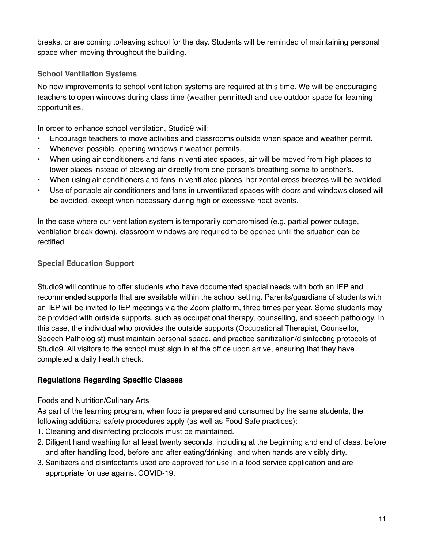breaks, or are coming to/leaving school for the day. Students will be reminded of maintaining personal space when moving throughout the building.

#### **School Ventilation Systems**

No new improvements to school ventilation systems are required at this time. We will be encouraging teachers to open windows during class time (weather permitted) and use outdoor space for learning opportunities.

In order to enhance school ventilation, Studio9 will:

- Encourage teachers to move activities and classrooms outside when space and weather permit.
- Whenever possible, opening windows if weather permits.
- When using air conditioners and fans in ventilated spaces, air will be moved from high places to lower places instead of blowing air directly from one person's breathing some to another's.
- When using air conditioners and fans in ventilated places, horizontal cross breezes will be avoided.
- Use of portable air conditioners and fans in unventilated spaces with doors and windows closed will be avoided, except when necessary during high or excessive heat events.

In the case where our ventilation system is temporarily compromised (e.g. partial power outage, ventilation break down), classroom windows are required to be opened until the situation can be rectified.

#### **Special Education Support**

Studio9 will continue to offer students who have documented special needs with both an IEP and recommended supports that are available within the school setting. Parents/guardians of students with an IEP will be invited to IEP meetings via the Zoom platform, three times per year. Some students may be provided with outside supports, such as occupational therapy, counselling, and speech pathology. In this case, the individual who provides the outside supports (Occupational Therapist, Counsellor, Speech Pathologist) must maintain personal space, and practice sanitization/disinfecting protocols of Studio9. All visitors to the school must sign in at the office upon arrive, ensuring that they have completed a daily health check.

#### **Regulations Regarding Specific Classes**

#### Foods and Nutrition/Culinary Arts

As part of the learning program, when food is prepared and consumed by the same students, the following additional safety procedures apply (as well as Food Safe practices):

- 1. Cleaning and disinfecting protocols must be maintained.
- 2. Diligent hand washing for at least twenty seconds, including at the beginning and end of class, before and after handling food, before and after eating/drinking, and when hands are visibly dirty.
- 3. Sanitizers and disinfectants used are approved for use in a food service application and are appropriate for use against COVID-19.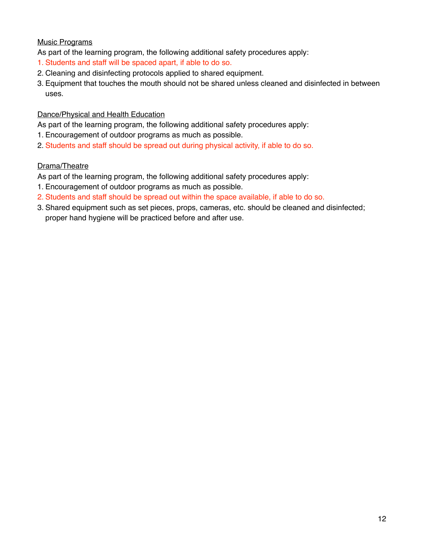#### Music Programs

As part of the learning program, the following additional safety procedures apply:

- 1. Students and staff will be spaced apart, if able to do so.
- 2. Cleaning and disinfecting protocols applied to shared equipment.
- 3. Equipment that touches the mouth should not be shared unless cleaned and disinfected in between uses.

#### Dance/Physical and Health Education

As part of the learning program, the following additional safety procedures apply:

- 1. Encouragement of outdoor programs as much as possible.
- 2. Students and staff should be spread out during physical activity, if able to do so.

#### Drama/Theatre

As part of the learning program, the following additional safety procedures apply:

- 1. Encouragement of outdoor programs as much as possible.
- 2. Students and staff should be spread out within the space available, if able to do so.
- 3. Shared equipment such as set pieces, props, cameras, etc. should be cleaned and disinfected; proper hand hygiene will be practiced before and after use.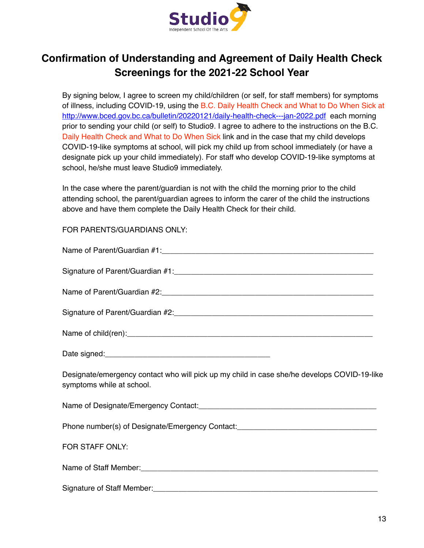

# **Confirmation of Understanding and Agreement of Daily Health Check Screenings for the 2021-22 School Year**

By signing below, I agree to screen my child/children (or self, for staff members) for symptoms of illness, including COVID-19, using the B.C. Daily Health Check and What to Do When Sick at <http://www.bced.gov.bc.ca/bulletin/20220121/daily-health-check---jan-2022.pdf>each morning prior to sending your child (or self) to Studio9. I agree to adhere to the instructions on the B.C. Daily Health Check and What to Do When Sick link and in the case that my child develops COVID-19-like symptoms at school, will pick my child up from school immediately (or have a designate pick up your child immediately). For staff who develop COVID-19-like symptoms at school, he/she must leave Studio9 immediately.

In the case where the parent/guardian is not with the child the morning prior to the child attending school, the parent/guardian agrees to inform the carer of the child the instructions above and have them complete the Daily Health Check for their child.

#### FOR PARENTS/GUARDIANS ONLY:

| Designate/emergency contact who will pick up my child in case she/he develops COVID-19-like<br>symptoms while at school. |
|--------------------------------------------------------------------------------------------------------------------------|
|                                                                                                                          |
| Phone number(s) of Designate/Emergency Contact: [1991] [2010] [2010] [2010] [2010] [2010] [2010] [2010] [2010            |
| FOR STAFF ONLY:                                                                                                          |
|                                                                                                                          |
|                                                                                                                          |